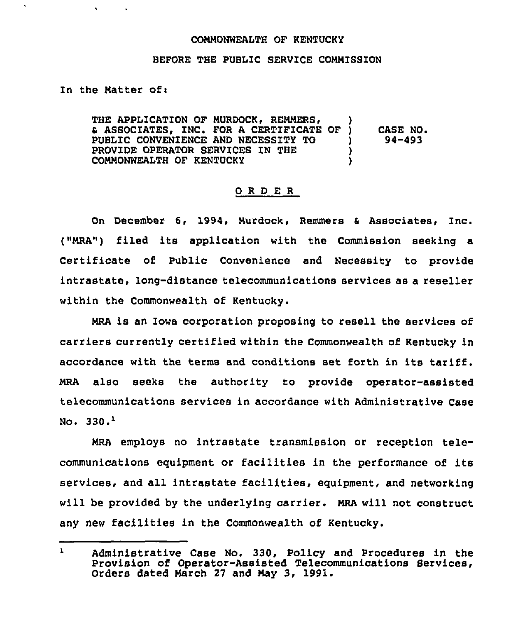## COMMONWEALTH OF KENTUCKY

## BEFORE THE PUBLIC SERVICE COMMISSION

In the Matter of:

 $\ddot{\phantom{1}}$ 

THE APPLICATION OF MURDOCK, REMMERS, & ASSOCIATES, INC. FOR A CERTIFICATE OF PUBLIC CONVENIENCE AND NECESSITY TO ) PROVIDE OPERATOR SERVICES IN THE COMMONWEALTH OF KENTUCKY ) CASE NO. 94-493

## ORDER

On December 6, 1994, Murdock, Remmers <sup>6</sup> Associates, Inc. ("MRA") filed its application with the Commission seeking a Certificate of Public Convenience and Necessity to provide intrastate, long-distance telecommunications services as a reseller within the Commonwealth of Kentucky.

MRA is an Iowa corporation proposing to resell the services of carriers currently certified within the Commonwealth of Kentucky in accordance with the terms and conditions set forth in its tariff. MRA also seeks the authority to provide operator-assisted telecommunications services in accordance with Administrative Case No.  $330.<sup>1</sup>$ 

MRA employs no intrastate transmission or reception telecommunications equipment or facilities in the performance of its services, and all intrastate facilities, equipment, and networking will be provided by the underlying carrier. MRA will not construct any new facilities in the Commonwealth of Kentucky.

 $\mathbf{L}$ Administrative Case No. 330, Policy and Procedures in the Provision of Operator-Assisted Telecommunications Services, Orders dated March 27 and May 3, 1991.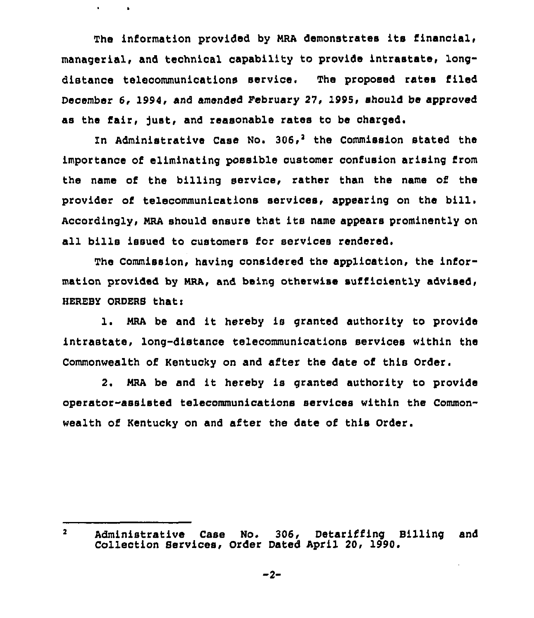The information provided by NRA demonstrates its financial, managerial, and technical capability to provide intrastate, longdistance telecommunications service. The proposed rates filed December 6, 1994, and amended February 27, 1995, should be approved as the fair, just, and reasonable rates to be charged.

In Administrative Case No.  $306<sub>1</sub><sup>2</sup>$  the Commission stated the importance of eliminating possible customer confusion arising from the name of the billing service, rather than the name of the provider of telecommunications services, appearing on the bill. Accordingly, NRA should ensure that its name appears prominently on all bills issued to customers fcr services rendered.

The Commission, having considered the application, the information provided by NRA, and being otherwise sufficiently advised, HEREBY ORDERS that:

1. NRA be and it hereby is granted authority to provide intrastate, long-distance telecommunications services within the Commonwealth of Kentucky on and after the date of this Order.

2. NRA be and it hereby is granted authority to provide operator-assisted telecommunications services within the Commonwealth of Kentucky on and after the date of this Order.

 $\overline{2}$ Administrative Case No. 306, Detariffing Billing and Collection Services, Order Dated April 20, 1990.